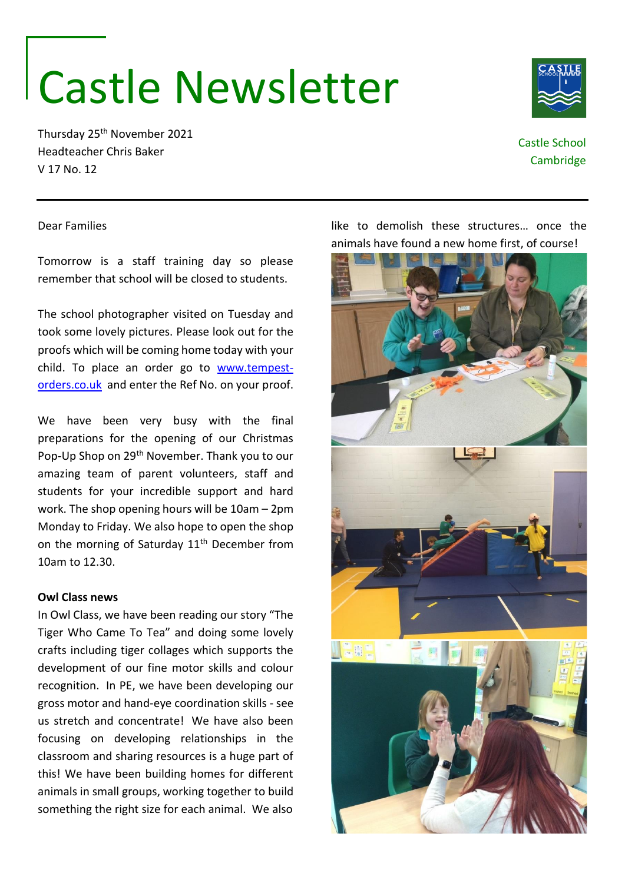# Castle Newsletter

Thursday 25th November 2021 Headteacher Chris Baker V 17 No. 12



# Castle School **Cambridge**

## Dear Families

Tomorrow is a staff training day so please remember that school will be closed to students.

The school photographer visited on Tuesday and took some lovely pictures. Please look out for the proofs which will be coming home today with your child. To place an order go to [www.tempest](http://www.tempest-orders.co.uk/)[orders.co.uk](http://www.tempest-orders.co.uk/) and enter the Ref No. on your proof.

We have been very busy with the final preparations for the opening of our Christmas Pop-Up Shop on 29th November. Thank you to our amazing team of parent volunteers, staff and students for your incredible support and hard work. The shop opening hours will be 10am – 2pm Monday to Friday. We also hope to open the shop on the morning of Saturday 11<sup>th</sup> December from 10am to 12.30.

### **Owl Class news**

In Owl Class, we have been reading our story "The Tiger Who Came To Tea" and doing some lovely crafts including tiger collages which supports the development of our fine motor skills and colour recognition. In PE, we have been developing our gross motor and hand-eye coordination skills - see us stretch and concentrate! We have also been focusing on developing relationships in the classroom and sharing resources is a huge part of this! We have been building homes for different animals in small groups, working together to build something the right size for each animal. We also

animals have found a new home first, of course!

like to demolish these structures… once the